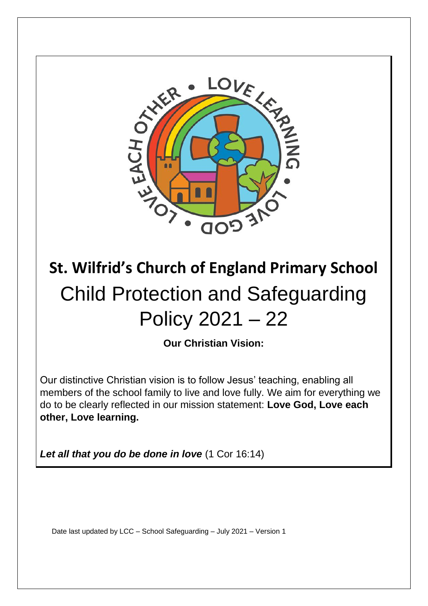

# **St. Wilfrid's Church of England Primary School**  Child Protection and Safeguarding Policy 2021 – 22

**Our Christian Vision:** 

Our distinctive Christian vision is to follow Jesus' teaching, enabling all members of the school family to live and love fully. We aim for everything we do to be clearly reflected in our mission statement: **Love God, Love each other, Love learning.** 

*Let all that you do be done in love* (1 Cor 16:14)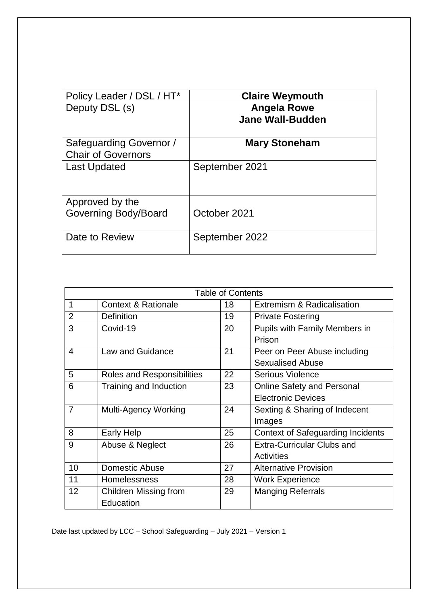| Policy Leader / DSL / HT*                            | <b>Claire Weymouth</b>                        |
|------------------------------------------------------|-----------------------------------------------|
| Deputy DSL (s)                                       | <b>Angela Rowe</b><br><b>Jane Wall-Budden</b> |
| Safeguarding Governor /<br><b>Chair of Governors</b> | <b>Mary Stoneham</b>                          |
| <b>Last Updated</b>                                  | September 2021                                |
| Approved by the<br><b>Governing Body/Board</b>       | October 2021                                  |
| Date to Review                                       | September 2022                                |

| <b>Table of Contents</b> |                                   |    |                                          |
|--------------------------|-----------------------------------|----|------------------------------------------|
| 1                        | <b>Context &amp; Rationale</b>    | 18 | Extremism & Radicalisation               |
| $\overline{2}$           | Definition                        | 19 | <b>Private Fostering</b>                 |
| 3                        | Covid-19                          | 20 | Pupils with Family Members in            |
|                          |                                   |    | Prison                                   |
| $\overline{4}$           | Law and Guidance                  | 21 | Peer on Peer Abuse including             |
|                          |                                   |    | <b>Sexualised Abuse</b>                  |
| 5                        | <b>Roles and Responsibilities</b> | 22 | <b>Serious Violence</b>                  |
| 6                        | Training and Induction            | 23 | <b>Online Safety and Personal</b>        |
|                          |                                   |    | <b>Electronic Devices</b>                |
| $\overline{7}$           | <b>Multi-Agency Working</b>       | 24 | Sexting & Sharing of Indecent            |
|                          |                                   |    | Images                                   |
| 8                        | <b>Early Help</b>                 | 25 | <b>Context of Safeguarding Incidents</b> |
| 9                        | Abuse & Neglect                   | 26 | <b>Extra-Curricular Clubs and</b>        |
|                          |                                   |    | <b>Activities</b>                        |
| 10                       | Domestic Abuse                    | 27 | <b>Alternative Provision</b>             |
| 11                       | <b>Homelessness</b>               | 28 | <b>Work Experience</b>                   |
| 12                       | <b>Children Missing from</b>      | 29 | <b>Manging Referrals</b>                 |
|                          | Education                         |    |                                          |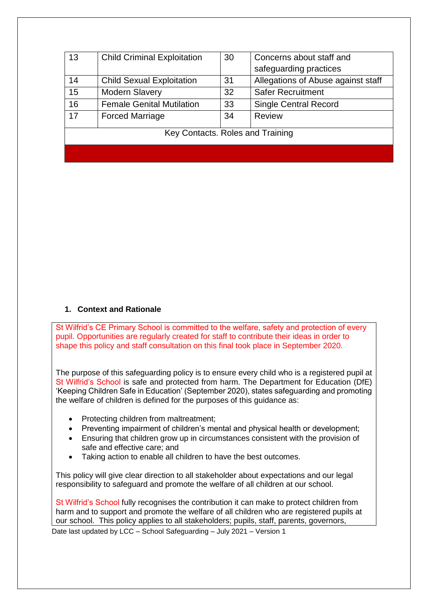| 13                               | <b>Child Criminal Exploitation</b> | 30 | Concerns about staff and           |
|----------------------------------|------------------------------------|----|------------------------------------|
|                                  |                                    |    | safeguarding practices             |
| 14                               | <b>Child Sexual Exploitation</b>   | 31 | Allegations of Abuse against staff |
| 15                               | <b>Modern Slavery</b>              | 32 | <b>Safer Recruitment</b>           |
| 16                               | <b>Female Genital Mutilation</b>   | 33 | <b>Single Central Record</b>       |
| 17                               | <b>Forced Marriage</b>             | 34 | <b>Review</b>                      |
|                                  |                                    |    |                                    |
| Key Contacts. Roles and Training |                                    |    |                                    |
|                                  |                                    |    |                                    |

#### **1. Context and Rationale**

St Wilfrid's CE Primary School is committed to the welfare, safety and protection of every pupil. Opportunities are regularly created for staff to contribute their ideas in order to shape this policy and staff consultation on this final took place in September 2020.

The purpose of this safeguarding policy is to ensure every child who is a registered pupil at St Wilfrid's School is safe and protected from harm. The Department for Education (DfE) 'Keeping Children Safe in Education' (September 2020), states safeguarding and promoting the welfare of children is defined for the purposes of this guidance as:

- Protecting children from maltreatment;
- Preventing impairment of children's mental and physical health or development;
- Ensuring that children grow up in circumstances consistent with the provision of safe and effective care; and
- Taking action to enable all children to have the best outcomes.

This policy will give clear direction to all stakeholder about expectations and our legal responsibility to safeguard and promote the welfare of all children at our school.

Date last updated by LCC – School Safeguarding – July 2021 – Version 1 St Wilfrid's School fully recognises the contribution it can make to protect children from harm and to support and promote the welfare of all children who are registered pupils at our school. This policy applies to all stakeholders; pupils, staff, parents, governors,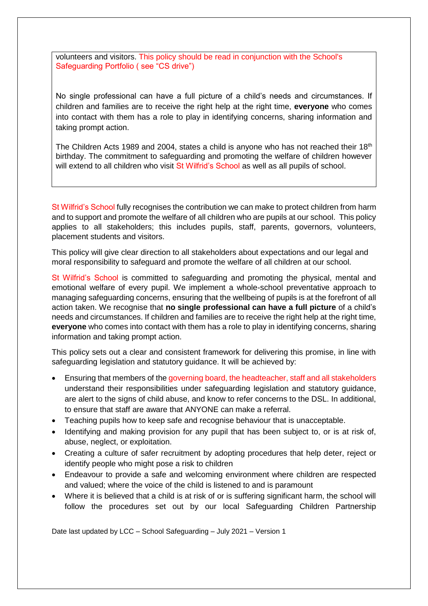volunteers and visitors. This policy should be read in conjunction with the School's Safeguarding Portfolio ( see "CS drive")

No single professional can have a full picture of a child's needs and circumstances. If children and families are to receive the right help at the right time, **everyone** who comes into contact with them has a role to play in identifying concerns, sharing information and taking prompt action.

The Children Acts 1989 and 2004, states a child is anyone who has not reached their 18<sup>th</sup> birthday. The commitment to safeguarding and promoting the welfare of children however will extend to all children who visit St Wilfrid's School as well as all pupils of school.

St Wilfrid's School fully recognises the contribution we can make to protect children from harm and to support and promote the welfare of all children who are pupils at our school. This policy applies to all stakeholders; this includes pupils, staff, parents, governors, volunteers, placement students and visitors.

This policy will give clear direction to all stakeholders about expectations and our legal and moral responsibility to safeguard and promote the welfare of all children at our school.

St Wilfrid's School is committed to safeguarding and promoting the physical, mental and emotional welfare of every pupil. We implement a whole-school preventative approach to managing safeguarding concerns, ensuring that the wellbeing of pupils is at the forefront of all action taken. We recognise that **no single professional can have a full picture** of a child's needs and circumstances. If children and families are to receive the right help at the right time, **everyone** who comes into contact with them has a role to play in identifying concerns, sharing information and taking prompt action.

This policy sets out a clear and consistent framework for delivering this promise, in line with safeguarding legislation and statutory guidance. It will be achieved by:

- Ensuring that members of the governing board, the headteacher, staff and all stakeholders understand their responsibilities under safeguarding legislation and statutory guidance, are alert to the signs of child abuse, and know to refer concerns to the DSL. In additional, to ensure that staff are aware that ANYONE can make a referral.
- Teaching pupils how to keep safe and recognise behaviour that is unacceptable.
- Identifying and making provision for any pupil that has been subject to, or is at risk of, abuse, neglect, or exploitation.
- Creating a culture of safer recruitment by adopting procedures that help deter, reject or identify people who might pose a risk to children
- Endeavour to provide a safe and welcoming environment where children are respected and valued; where the voice of the child is listened to and is paramount
- Where it is believed that a child is at risk of or is suffering significant harm, the school will follow the procedures set out by our local Safeguarding Children Partnership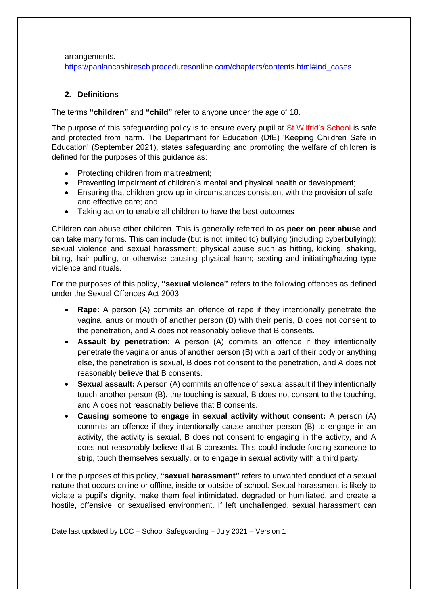arrangements.

[https://panlancashirescb.proceduresonline.com/chapters/contents.html#ind\\_cases](https://panlancashirescb.proceduresonline.com/chapters/contents.html#ind_cases)

#### **2. Definitions**

The terms **"children"** and **"child"** refer to anyone under the age of 18.

The purpose of this safeguarding policy is to ensure every pupil at St Wilfrid's School is safe and protected from harm. The Department for Education (DfE) 'Keeping Children Safe in Education' (September 2021), states safeguarding and promoting the welfare of children is defined for the purposes of this guidance as:

- Protecting children from maltreatment;
- Preventing impairment of children's mental and physical health or development;
- Ensuring that children grow up in circumstances consistent with the provision of safe and effective care; and
- Taking action to enable all children to have the best outcomes

Children can abuse other children. This is generally referred to as **peer on peer abuse** and can take many forms. This can include (but is not limited to) bullying (including cyberbullying); sexual violence and sexual harassment; physical abuse such as hitting, kicking, shaking, biting, hair pulling, or otherwise causing physical harm; sexting and initiating/hazing type violence and rituals.

For the purposes of this policy, **"sexual violence"** refers to the following offences as defined under the Sexual Offences Act 2003:

- **Rape:** A person (A) commits an offence of rape if they intentionally penetrate the vagina, anus or mouth of another person (B) with their penis, B does not consent to the penetration, and A does not reasonably believe that B consents.
- **Assault by penetration:** A person (A) commits an offence if they intentionally penetrate the vagina or anus of another person (B) with a part of their body or anything else, the penetration is sexual, B does not consent to the penetration, and A does not reasonably believe that B consents.
- **Sexual assault:** A person (A) commits an offence of sexual assault if they intentionally touch another person (B), the touching is sexual, B does not consent to the touching, and A does not reasonably believe that B consents.
- **Causing someone to engage in sexual activity without consent:** A person (A) commits an offence if they intentionally cause another person (B) to engage in an activity, the activity is sexual, B does not consent to engaging in the activity, and A does not reasonably believe that B consents. This could include forcing someone to strip, touch themselves sexually, or to engage in sexual activity with a third party.

For the purposes of this policy, **"sexual harassment"** refers to unwanted conduct of a sexual nature that occurs online or offline, inside or outside of school. Sexual harassment is likely to violate a pupil's dignity, make them feel intimidated, degraded or humiliated, and create a hostile, offensive, or sexualised environment. If left unchallenged, sexual harassment can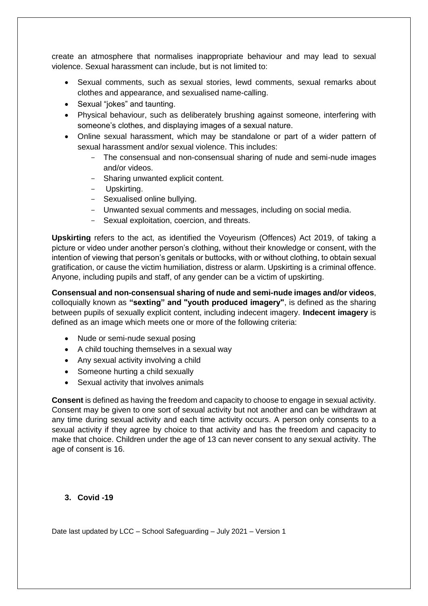create an atmosphere that normalises inappropriate behaviour and may lead to sexual violence. Sexual harassment can include, but is not limited to:

- Sexual comments, such as sexual stories, lewd comments, sexual remarks about clothes and appearance, and sexualised name-calling.
- Sexual "jokes" and taunting.
- Physical behaviour, such as deliberately brushing against someone, interfering with someone's clothes, and displaying images of a sexual nature.
- Online sexual harassment, which may be standalone or part of a wider pattern of sexual harassment and/or sexual violence. This includes:
	- The consensual and non-consensual sharing of nude and semi-nude images and/or videos.
	- Sharing unwanted explicit content.
	- Upskirting.
	- Sexualised online bullying.
	- Unwanted sexual comments and messages, including on social media.
	- Sexual exploitation, coercion, and threats.

**Upskirting** refers to the act, as identified the Voyeurism (Offences) Act 2019, of taking a picture or video under another person's clothing, without their knowledge or consent, with the intention of viewing that person's genitals or buttocks, with or without clothing, to obtain sexual gratification, or cause the victim humiliation, distress or alarm. Upskirting is a criminal offence. Anyone, including pupils and staff, of any gender can be a victim of upskirting.

**Consensual and non-consensual sharing of nude and semi-nude images and/or videos**, colloquially known as **"sexting" and "youth produced imagery"**, is defined as the sharing between pupils of sexually explicit content, including indecent imagery. **Indecent imagery** is defined as an image which meets one or more of the following criteria:

- Nude or semi-nude sexual posing
- A child touching themselves in a sexual way
- Any sexual activity involving a child
- Someone hurting a child sexually
- Sexual activity that involves animals

**Consent** is defined as having the freedom and capacity to choose to engage in sexual activity. Consent may be given to one sort of sexual activity but not another and can be withdrawn at any time during sexual activity and each time activity occurs. A person only consents to a sexual activity if they agree by choice to that activity and has the freedom and capacity to make that choice. Children under the age of 13 can never consent to any sexual activity. The age of consent is 16.

## **3. Covid -19**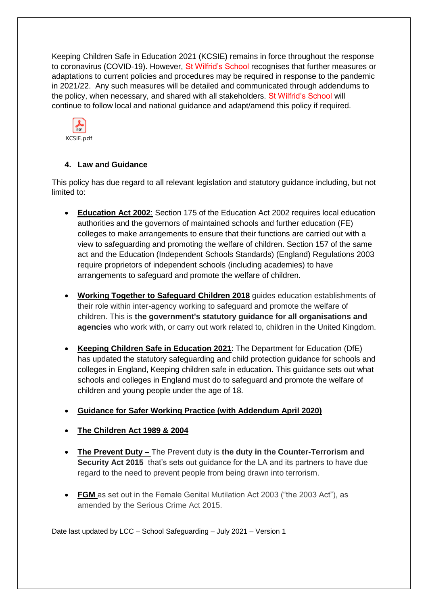Keeping Children Safe in Education 2021 (KCSIE) remains in force throughout the response to coronavirus (COVID-19). However, St Wilfrid's School recognises that further measures or adaptations to current policies and procedures may be required in response to the pandemic in 2021/22. Any such measures will be detailed and communicated through addendums to the policy, when necessary, and shared with all stakeholders. St Wilfrid's School will continue to follow local and national guidance and adapt/amend this policy if required.



## **4. Law and Guidance**

This policy has due regard to all relevant legislation and statutory guidance including, but not limited to:

- **[Education Act 2002](http://www.legislation.gov.uk/ukpga/2002/32/contents)**: Section 175 of the Education Act 2002 requires local education authorities and the governors of maintained schools and further education (FE) colleges to make arrangements to ensure that their functions are carried out with a view to safeguarding and promoting the welfare of children. Section 157 of the same act and the Education (Independent Schools Standards) (England) Regulations 2003 require proprietors of independent schools (including academies) to have arrangements to safeguard and promote the welfare of children.
- **[Working Together to Safeguard Children 2018](https://www.gov.uk/government/publications/working-together-to-safeguard-children--2)** guides education establishments of their role within inter-agency working to safeguard and promote the welfare of children. This is **the government's statutory guidance for all organisations and agencies** who work with, or carry out work related to, children in the United Kingdom.
- **[Keeping Children Safe in Education 2021](https://assets.publishing.service.gov.uk/government/uploads/system/uploads/attachment_data/file/892394/Keeping_children_safe_in_education_2020.pdf)**: The Department for Education (DfE) has updated the statutory safeguarding and child protection guidance for schools and colleges in England, Keeping children safe in education. This guidance sets out what schools and colleges in England must do to safeguard and promote the welfare of children and young people under the age of 18.
- **[Guidance for Safer Working Practice \(with Addendum April 2020\)](https://www.saferrecruitmentconsortium.org/GSWP%20COVID%20addendum%20April%202020%20final-1.pdf)**
- **[The Children Act 1989](http://www.legislation.gov.uk/ukpga/1989/41/contents) & 2004**
- **The Prevent Duty –** The Prevent duty is **the duty in the Counter-Terrorism and Security Act 2015** that's sets out guidance for the LA and its partners to have due regard to the need to prevent people from being drawn into terrorism.
- **FGM** as set out in the Female Genital Mutilation Act 2003 ("the 2003 Act"), as amended by the Serious Crime Act 2015.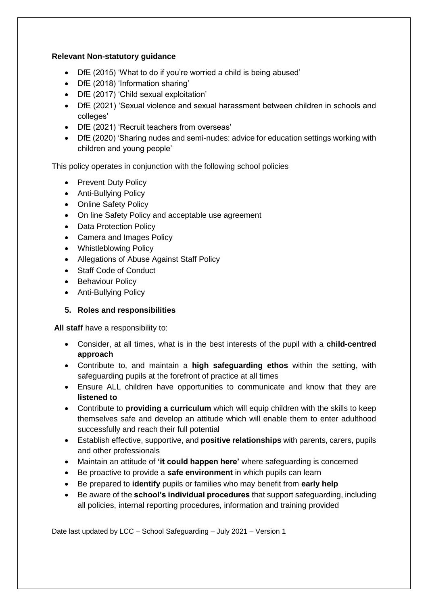## **Relevant Non-statutory guidance**

- DfE (2015) 'What to do if you're worried a child is being abused'
- DfE (2018) 'Information sharing'
- DfE (2017) 'Child sexual exploitation'
- DfE (2021) 'Sexual violence and sexual harassment between children in schools and colleges'
- DfE (2021) 'Recruit teachers from overseas'
- DfE (2020) 'Sharing nudes and semi-nudes: advice for education settings working with children and young people'

This policy operates in conjunction with the following school policies

- Prevent Duty Policy
- Anti-Bullying Policy
- Online Safety Policy
- On line Safety Policy and acceptable use agreement
- Data Protection Policy
- Camera and Images Policy
- Whistleblowing Policy
- Allegations of Abuse Against Staff Policy
- Staff Code of Conduct
- Behaviour Policy
- Anti-Bullying Policy

## **5. Roles and responsibilities**

**All staff** have a responsibility to:

- Consider, at all times, what is in the best interests of the pupil with a **child-centred approach**
- Contribute to, and maintain a **high safeguarding ethos** within the setting, with safeguarding pupils at the forefront of practice at all times
- Ensure ALL children have opportunities to communicate and know that they are **listened to**
- Contribute to **providing a curriculum** which will equip children with the skills to keep themselves safe and develop an attitude which will enable them to enter adulthood successfully and reach their full potential
- Establish effective, supportive, and **positive relationships** with parents, carers, pupils and other professionals
- Maintain an attitude of **'it could happen here'** where safeguarding is concerned
- Be proactive to provide a **safe environment** in which pupils can learn
- Be prepared to **identify** pupils or families who may benefit from **early help**
- Be aware of the **school's individual procedures** that support safeguarding, including all policies, internal reporting procedures, information and training provided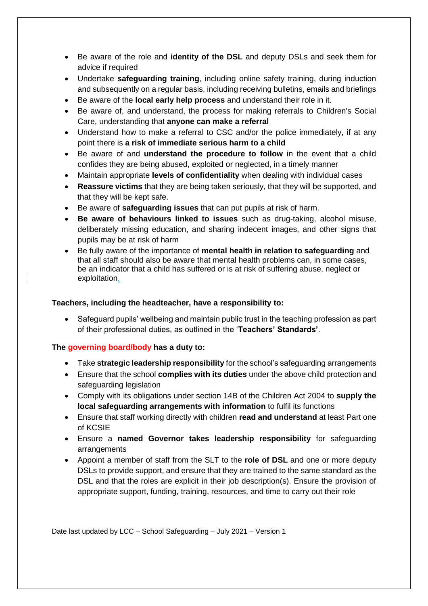- Be aware of the role and **identity of the DSL** and deputy DSLs and seek them for advice if required
- Undertake **safeguarding training**, including online safety training, during induction and subsequently on a regular basis, including receiving bulletins, emails and briefings
- Be aware of the **local early help process** and understand their role in it.
- Be aware of, and understand, the process for making referrals to Children's Social Care, understanding that **anyone can make a referral**
- Understand how to make a referral to CSC and/or the police immediately, if at any point there is **a risk of immediate serious harm to a child**
- Be aware of and **understand the procedure to follow** in the event that a child confides they are being abused, exploited or neglected, in a timely manner
- Maintain appropriate **levels of confidentiality** when dealing with individual cases
- **Reassure victims** that they are being taken seriously, that they will be supported, and that they will be kept safe.
- Be aware of **safeguarding issues** that can put pupils at risk of harm.
- **Be aware of behaviours linked to issues** such as drug-taking, alcohol misuse, deliberately missing education, and sharing indecent images, and other signs that pupils may be at risk of harm
- Be fully aware of the importance of **mental health in relation to safeguarding** and that all staff should also be aware that mental health problems can, in some cases, be an indicator that a child has suffered or is at risk of suffering abuse, neglect or exploitation.

#### **Teachers, including the headteacher, have a responsibility to:**

• Safeguard pupils' wellbeing and maintain public trust in the teaching profession as part of their professional duties, as outlined in the '**Teachers' Standards'**.

#### **The governing board/body has a duty to:**

- Take **strategic leadership responsibility** for the school's safeguarding arrangements
- Ensure that the school **complies with its duties** under the above child protection and safeguarding legislation
- Comply with its obligations under section 14B of the Children Act 2004 to **supply the local safeguarding arrangements with information** to fulfil its functions
- Ensure that staff working directly with children **read and understand** at least Part one of KCSIE
- Ensure a **named Governor takes leadership responsibility** for safeguarding arrangements
- Appoint a member of staff from the SLT to the **role of DSL** and one or more deputy DSLs to provide support, and ensure that they are trained to the same standard as the DSL and that the roles are explicit in their job description(s). Ensure the provision of appropriate support, funding, training, resources, and time to carry out their role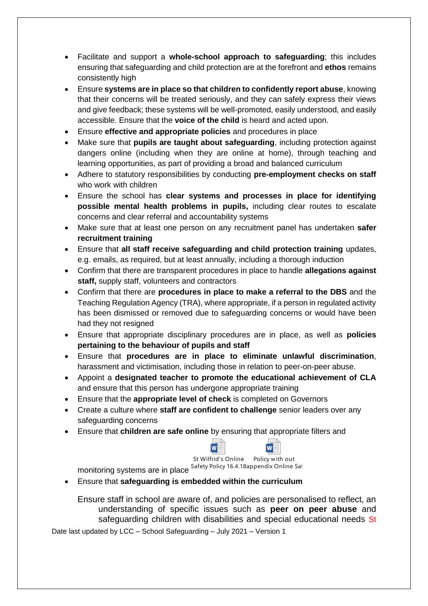- Facilitate and support a **whole-school approach to safeguarding**; this includes ensuring that safeguarding and child protection are at the forefront and **ethos** remains consistently high
- Ensure **systems are in place so that children to confidently report abuse**, knowing that their concerns will be treated seriously, and they can safely express their views and give feedback; these systems will be well-promoted, easily understood, and easily accessible. Ensure that the **voice of the child** is heard and acted upon.
- Ensure **effective and appropriate policies** and procedures in place
- Make sure that **pupils are taught about safeguarding**, including protection against dangers online (including when they are online at home), through teaching and learning opportunities, as part of providing a broad and balanced curriculum
- Adhere to statutory responsibilities by conducting **pre-employment checks on staff** who work with children
- Ensure the school has **clear systems and processes in place for identifying possible mental health problems in pupils,** including clear routes to escalate concerns and clear referral and accountability systems
- Make sure that at least one person on any recruitment panel has undertaken **safer recruitment training**
- Ensure that **all staff receive safeguarding and child protection training** updates, e.g. emails, as required, but at least annually, including a thorough induction
- Confirm that there are transparent procedures in place to handle **allegations against staff,** supply staff, volunteers and contractors
- Confirm that there are **procedures in place to make a referral to the DBS** and the Teaching Regulation Agency (TRA), where appropriate, if a person in regulated activity has been dismissed or removed due to safeguarding concerns or would have been had they not resigned
- Ensure that appropriate disciplinary procedures are in place, as well as **policies pertaining to the behaviour of pupils and staff**
- Ensure that **procedures are in place to eliminate unlawful discrimination**, harassment and victimisation, including those in relation to peer-on-peer abuse.
- Appoint a **designated teacher to promote the educational achievement of CLA** and ensure that this person has undergone appropriate training
- Ensure that the **appropriate level of check** is completed on Governors
- Create a culture where **staff are confident to challenge** senior leaders over any safeguarding concerns
- Ensure that **children are safe online** by ensuring that appropriate filters and



St Wilfrid's Online Policy with out

monitoring systems are in place Safety Policy 16.4.18 APPENDIX Updated by AM Oct 2020.docx appendix Online Safety St. Wilfrids Oct 2020 reviewed Feb 21.docx

• Ensure that **safeguarding is embedded within the curriculum**

Ensure staff in school are aware of, and policies are personalised to reflect, an understanding of specific issues such as **peer on peer abuse** and safeguarding children with disabilities and special educational needs St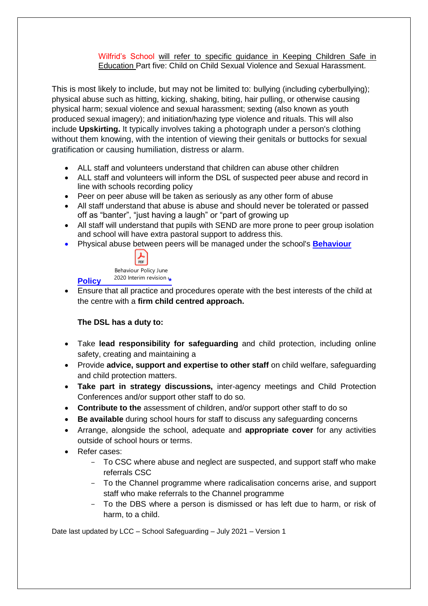#### Wilfrid's School will refer to specific guidance in Keeping Children Safe in Education Part five: Child on Child Sexual Violence and Sexual Harassment.

This is most likely to include, but may not be limited to: bullying (including cyberbullying); physical abuse such as hitting, kicking, shaking, biting, hair pulling, or otherwise causing physical harm; sexual violence and sexual harassment; sexting (also known as youth produced sexual imagery); and initiation/hazing type violence and rituals. This will also include **Upskirting.** It typically involves taking a photograph under a person's clothing without them knowing, with the intention of viewing their genitals or buttocks for sexual gratification or causing humiliation, distress or alarm.

- ALL staff and volunteers understand that children can abuse other children
- ALL staff and volunteers will inform the DSL of suspected peer abuse and record in line with schools recording policy
- Peer on peer abuse will be taken as seriously as any other form of abuse
- All staff understand that abuse is abuse and should never be tolerated or passed off as "banter", "just having a laugh" or "part of growing up
- All staff will understand that pupils with SEND are more prone to peer group isolation and school will have extra pastoral support to address this.
- Physical abuse between peers will be managed under the school's **[Behaviour](https://www.gov.uk/government/publications/behaviour-and-discipline-in-schools)**



**[Policy](https://www.gov.uk/government/publications/behaviour-and-discipline-in-schools)**  2020 Interim revision  $\cdot$  **\*** 

• Ensure that all practice and procedures operate with the best interests of the child at the centre with a **firm child centred approach.**

## **The DSL has a duty to:**

- Take **lead responsibility for safeguarding** and child protection, including online safety, creating and maintaining a
- Provide **advice, support and expertise to other staff** on child welfare, safeguarding and child protection matters.
- **Take part in strategy discussions,** inter-agency meetings and Child Protection Conferences and/or support other staff to do so.
- **Contribute to the** assessment of children, and/or support other staff to do so
- **Be available** during school hours for staff to discuss any safeguarding concerns
- Arrange, alongside the school, adequate and **appropriate cover** for any activities outside of school hours or terms.
- Refer cases:
	- To CSC where abuse and neglect are suspected, and support staff who make referrals CSC
	- To the Channel programme where radicalisation concerns arise, and support staff who make referrals to the Channel programme
	- To the DBS where a person is dismissed or has left due to harm, or risk of harm, to a child.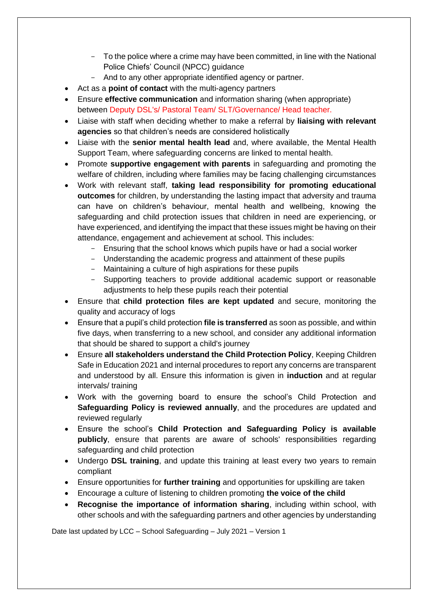- To the police where a crime may have been committed, in line with the National Police Chiefs' Council (NPCC) guidance
- And to any other appropriate identified agency or partner.
- Act as a **point of contact** with the multi-agency partners
- Ensure **effective communication** and information sharing (when appropriate) between Deputy DSL's/ Pastoral Team/ SLT/Governance/ Head teacher.
- Liaise with staff when deciding whether to make a referral by **liaising with relevant agencies** so that children's needs are considered holistically
- Liaise with the **senior mental health lead** and, where available, the Mental Health Support Team, where safeguarding concerns are linked to mental health.
- Promote **supportive engagement with parents** in safeguarding and promoting the welfare of children, including where families may be facing challenging circumstances
- Work with relevant staff, **taking lead responsibility for promoting educational outcomes** for children, by understanding the lasting impact that adversity and trauma can have on children's behaviour, mental health and wellbeing, knowing the safeguarding and child protection issues that children in need are experiencing, or have experienced, and identifying the impact that these issues might be having on their attendance, engagement and achievement at school. This includes:
	- Ensuring that the school knows which pupils have or had a social worker
	- Understanding the academic progress and attainment of these pupils
	- Maintaining a culture of high aspirations for these pupils
	- Supporting teachers to provide additional academic support or reasonable adjustments to help these pupils reach their potential
- Ensure that **child protection files are kept updated** and secure, monitoring the quality and accuracy of logs
- Ensure that a pupil's child protection **file is transferred** as soon as possible, and within five days, when transferring to a new school, and consider any additional information that should be shared to support a child's journey
- Ensure **all stakeholders understand the Child Protection Policy**, Keeping Children Safe in Education 2021 and internal procedures to report any concerns are transparent and understood by all. Ensure this information is given in **induction** and at regular intervals/ training
- Work with the governing board to ensure the school's Child Protection and **Safeguarding Policy is reviewed annually**, and the procedures are updated and reviewed regularly
- Ensure the school's **Child Protection and Safeguarding Policy is available publicly**, ensure that parents are aware of schools' responsibilities regarding safeguarding and child protection
- Undergo **DSL training**, and update this training at least every two years to remain compliant
- Ensure opportunities for **further training** and opportunities for upskilling are taken
- Encourage a culture of listening to children promoting **the voice of the child**
- **Recognise the importance of information sharing**, including within school, with other schools and with the safeguarding partners and other agencies by understanding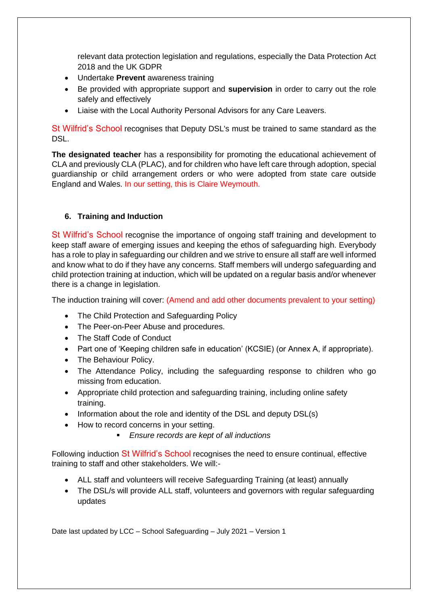relevant data protection legislation and regulations, especially the Data Protection Act 2018 and the UK GDPR

- Undertake **Prevent** awareness training
- Be provided with appropriate support and **supervision** in order to carry out the role safely and effectively
- Liaise with the Local Authority Personal Advisors for any Care Leavers.

St Wilfrid's School recognises that Deputy DSL's must be trained to same standard as the DSL.

**The designated teacher** has a responsibility for promoting the educational achievement of CLA and previously CLA (PLAC), and for children who have left care through adoption, special guardianship or child arrangement orders or who were adopted from state care outside England and Wales. In our setting, this is Claire Weymouth.

## **6. Training and Induction**

St Wilfrid's School recognise the importance of ongoing staff training and development to keep staff aware of emerging issues and keeping the ethos of safeguarding high. Everybody has a role to play in safeguarding our children and we strive to ensure all staff are well informed and know what to do if they have any concerns. Staff members will undergo safeguarding and child protection training at induction, which will be updated on a regular basis and/or whenever there is a change in legislation.

The induction training will cover: (Amend and add other documents prevalent to your setting)

- The Child Protection and Safeguarding Policy
- The Peer-on-Peer Abuse and procedures.
- The Staff Code of Conduct
- Part one of 'Keeping children safe in education' (KCSIE) (or Annex A, if appropriate).
- The Behaviour Policy.
- The Attendance Policy, including the safeguarding response to children who go missing from education.
- Appropriate child protection and safeguarding training, including online safety training.
- Information about the role and identity of the DSL and deputy DSL(s)
- How to record concerns in your setting.
	- *Ensure records are kept of all inductions*

Following induction St Wilfrid's School recognises the need to ensure continual, effective training to staff and other stakeholders. We will:-

- ALL staff and volunteers will receive Safeguarding Training (at least) annually
- The DSL/s will provide ALL staff, volunteers and governors with regular safeguarding updates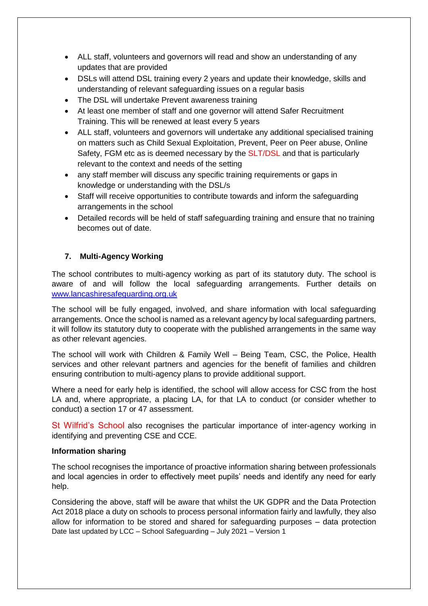- ALL staff, volunteers and governors will read and show an understanding of any updates that are provided
- DSLs will attend DSL training every 2 years and update their knowledge, skills and understanding of relevant safeguarding issues on a regular basis
- The DSL will undertake Prevent awareness training
- At least one member of staff and one governor will attend Safer Recruitment Training. This will be renewed at least every 5 years
- ALL staff, volunteers and governors will undertake any additional specialised training on matters such as Child Sexual Exploitation, Prevent, Peer on Peer abuse, Online Safety, FGM etc as is deemed necessary by the SLT/DSL and that is particularly relevant to the context and needs of the setting
- any staff member will discuss any specific training requirements or gaps in knowledge or understanding with the DSL/s
- Staff will receive opportunities to contribute towards and inform the safeguarding arrangements in the school
- Detailed records will be held of staff safeguarding training and ensure that no training becomes out of date.

## **7. Multi-Agency Working**

The school contributes to multi-agency working as part of its statutory duty. The school is aware of and will follow the local safeguarding arrangements. Further details on [www.lancashiresafeguarding.org.uk](http://www.lancashiresafeguarding.org.uk/)

The school will be fully engaged, involved, and share information with local safeguarding arrangements. Once the school is named as a relevant agency by local safeguarding partners, it will follow its statutory duty to cooperate with the published arrangements in the same way as other relevant agencies.

The school will work with Children & Family Well – Being Team, CSC, the Police, Health services and other relevant partners and agencies for the benefit of families and children ensuring contribution to multi-agency plans to provide additional support.

Where a need for early help is identified, the school will allow access for CSC from the host LA and, where appropriate, a placing LA, for that LA to conduct (or consider whether to conduct) a section 17 or 47 assessment.

St Wilfrid's School also recognises the particular importance of inter-agency working in identifying and preventing CSE and CCE.

#### **Information sharing**

The school recognises the importance of proactive information sharing between professionals and local agencies in order to effectively meet pupils' needs and identify any need for early help.

Date last updated by LCC – School Safeguarding – July 2021 – Version 1 Considering the above, staff will be aware that whilst the UK GDPR and the Data Protection Act 2018 place a duty on schools to process personal information fairly and lawfully, they also allow for information to be stored and shared for safeguarding purposes – data protection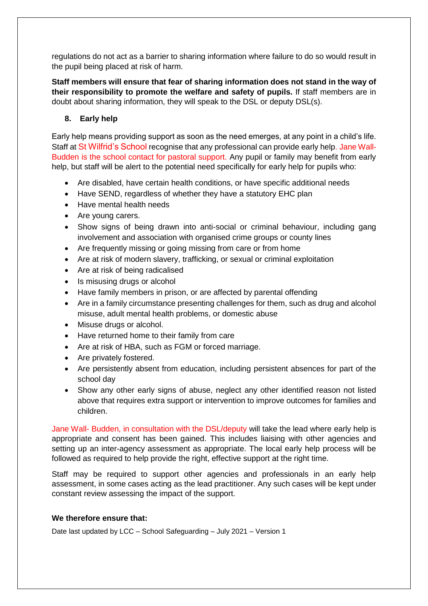regulations do not act as a barrier to sharing information where failure to do so would result in the pupil being placed at risk of harm.

**Staff members will ensure that fear of sharing information does not stand in the way of their responsibility to promote the welfare and safety of pupils.** If staff members are in doubt about sharing information, they will speak to the DSL or deputy DSL(s).

# **8. Early help**

Early help means providing support as soon as the need emerges, at any point in a child's life. Staff at St Wilfrid's School recognise that any professional can provide early help. Jane Wall-Budden is the school contact for pastoral support. Any pupil or family may benefit from early help, but staff will be alert to the potential need specifically for early help for pupils who:

- Are disabled, have certain health conditions, or have specific additional needs
- Have SEND, regardless of whether they have a statutory EHC plan
- Have mental health needs
- Are young carers.
- Show signs of being drawn into anti-social or criminal behaviour, including gang involvement and association with organised crime groups or county lines
- Are frequently missing or going missing from care or from home
- Are at risk of modern slavery, trafficking, or sexual or criminal exploitation
- Are at risk of being radicalised
- Is misusing drugs or alcohol
- Have family members in prison, or are affected by parental offending
- Are in a family circumstance presenting challenges for them, such as drug and alcohol misuse, adult mental health problems, or domestic abuse
- Misuse drugs or alcohol.
- Have returned home to their family from care
- Are at risk of HBA, such as FGM or forced marriage.
- Are privately fostered.
- Are persistently absent from education, including persistent absences for part of the school day
- Show any other early signs of abuse, neglect any other identified reason not listed above that requires extra support or intervention to improve outcomes for families and children.

Jane Wall- Budden, in consultation with the DSL/deputy will take the lead where early help is appropriate and consent has been gained. This includes liaising with other agencies and setting up an inter-agency assessment as appropriate. The local early help process will be followed as required to help provide the right, effective support at the right time.

Staff may be required to support other agencies and professionals in an early help assessment, in some cases acting as the lead practitioner. Any such cases will be kept under constant review assessing the impact of the support.

#### **We therefore ensure that:**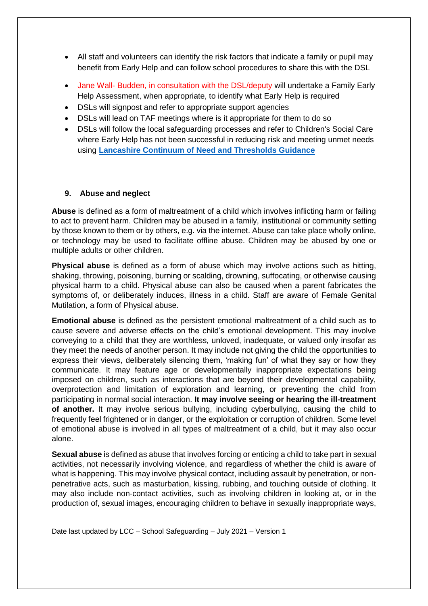- All staff and volunteers can identify the risk factors that indicate a family or pupil may benefit from Early Help and can follow school procedures to share this with the DSL
- Jane Wall- Budden, in consultation with the DSL/deputy will undertake a Family Early Help Assessment, when appropriate, to identify what Early Help is required
- DSLs will signpost and refer to appropriate support agencies
- DSLs will lead on TAF meetings where is it appropriate for them to do so
- DSLs will follow the local safeguarding processes and refer to Children's Social Care where Early Help has not been successful in reducing risk and meeting unmet needs using **[Lancashire Continuum of Need and Thresholds Guidance](http://www.lancashiresafeguarding.org.uk/resources/assessment-and-referral.aspx)**

#### **9. Abuse and neglect**

**Abuse** is defined as a form of maltreatment of a child which involves inflicting harm or failing to act to prevent harm. Children may be abused in a family, institutional or community setting by those known to them or by others, e.g. via the internet. Abuse can take place wholly online, or technology may be used to facilitate offline abuse. Children may be abused by one or multiple adults or other children.

**Physical abuse** is defined as a form of abuse which may involve actions such as hitting, shaking, throwing, poisoning, burning or scalding, drowning, suffocating, or otherwise causing physical harm to a child. Physical abuse can also be caused when a parent fabricates the symptoms of, or deliberately induces, illness in a child. Staff are aware of Female Genital Mutilation, a form of Physical abuse.

**Emotional abuse** is defined as the persistent emotional maltreatment of a child such as to cause severe and adverse effects on the child's emotional development. This may involve conveying to a child that they are worthless, unloved, inadequate, or valued only insofar as they meet the needs of another person. It may include not giving the child the opportunities to express their views, deliberately silencing them, 'making fun' of what they say or how they communicate. It may feature age or developmentally inappropriate expectations being imposed on children, such as interactions that are beyond their developmental capability, overprotection and limitation of exploration and learning, or preventing the child from participating in normal social interaction. **It may involve seeing or hearing the ill-treatment of another.** It may involve serious bullying, including cyberbullying, causing the child to frequently feel frightened or in danger, or the exploitation or corruption of children. Some level of emotional abuse is involved in all types of maltreatment of a child, but it may also occur alone.

**Sexual abuse** is defined as abuse that involves forcing or enticing a child to take part in sexual activities, not necessarily involving violence, and regardless of whether the child is aware of what is happening. This may involve physical contact, including assault by penetration, or nonpenetrative acts, such as masturbation, kissing, rubbing, and touching outside of clothing. It may also include non-contact activities, such as involving children in looking at, or in the production of, sexual images, encouraging children to behave in sexually inappropriate ways,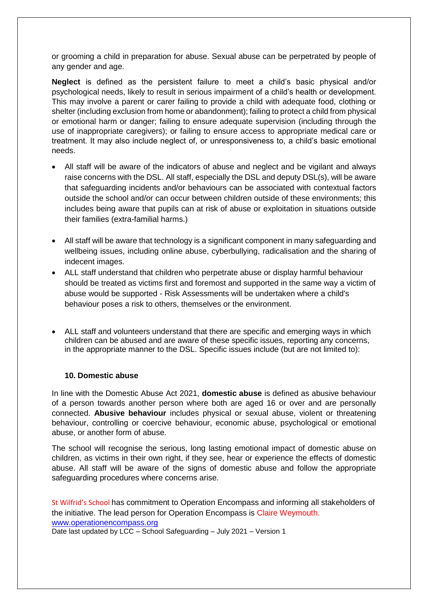or grooming a child in preparation for abuse. Sexual abuse can be perpetrated by people of any gender and age.

**Neglect** is defined as the persistent failure to meet a child's basic physical and/or psychological needs, likely to result in serious impairment of a child's health or development. This may involve a parent or carer failing to provide a child with adequate food, clothing or shelter (including exclusion from home or abandonment); failing to protect a child from physical or emotional harm or danger; failing to ensure adequate supervision (including through the use of inappropriate caregivers); or failing to ensure access to appropriate medical care or treatment. It may also include neglect of, or unresponsiveness to, a child's basic emotional needs.

- All staff will be aware of the indicators of abuse and neglect and be vigilant and always raise concerns with the DSL. All staff, especially the DSL and deputy DSL(s), will be aware that safeguarding incidents and/or behaviours can be associated with contextual factors outside the school and/or can occur between children outside of these environments; this includes being aware that pupils can at risk of abuse or exploitation in situations outside their families (extra-familial harms.)
- All staff will be aware that technology is a significant component in many safeguarding and wellbeing issues, including online abuse, cyberbullying, radicalisation and the sharing of indecent images.
- ALL staff understand that children who perpetrate abuse or display harmful behaviour should be treated as victims first and foremost and supported in the same way a victim of abuse would be supported - Risk Assessments will be undertaken where a child's behaviour poses a risk to others, themselves or the environment.
- ALL staff and volunteers understand that there are specific and emerging ways in which children can be abused and are aware of these specific issues, reporting any concerns, in the appropriate manner to the DSL. Specific issues include (but are not limited to):

#### **10. Domestic abuse**

In line with the Domestic Abuse Act 2021, **domestic abuse** is defined as abusive behaviour of a person towards another person where both are aged 16 or over and are personally connected. **Abusive behaviour** includes physical or sexual abuse, violent or threatening behaviour, controlling or coercive behaviour, economic abuse, psychological or emotional abuse, or another form of abuse.

The school will recognise the serious, long lasting emotional impact of domestic abuse on children, as victims in their own right, if they see, hear or experience the effects of domestic abuse. All staff will be aware of the signs of domestic abuse and follow the appropriate safeguarding procedures where concerns arise.

Date last updated by LCC – School Safeguarding – July 2021 – Version 1 St Wilfrid's School has commitment to Operation Encompass and informing all stakeholders of the initiative. The lead person for Operation Encompass is Claire Weymouth. [www.operationencompass.org](http://www.operationencompass.org/)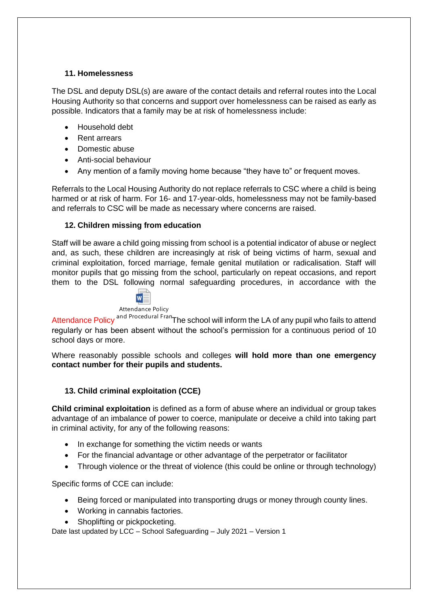#### **11. Homelessness**

The DSL and deputy DSL(s) are aware of the contact details and referral routes into the Local Housing Authority so that concerns and support over homelessness can be raised as early as possible. Indicators that a family may be at risk of homelessness include:

- Household debt
- Rent arrears
- Domestic abuse
- Anti-social behaviour
- Any mention of a family moving home because "they have to" or frequent moves.

Referrals to the Local Housing Authority do not replace referrals to CSC where a child is being harmed or at risk of harm. For 16- and 17-year-olds, homelessness may not be family-based and referrals to CSC will be made as necessary where concerns are raised.

## **12. Children missing from education**

Staff will be aware a child going missing from school is a potential indicator of abuse or neglect and, as such, these children are increasingly at risk of being victims of harm, sexual and criminal exploitation, forced marriage, female genital mutilation or radicalisation. Staff will monitor pupils that go missing from the school, particularly on repeat occasions, and report them to the DSL following normal safeguarding procedures, in accordance with the

W

Attendance Policy

Attendance Policy <sup>and Procedural Fran</sup> The school will inform the LA of any pupil who fails to attend regularly or has been absent without the school's permission for a continuous period of 10 school days or more.

Where reasonably possible schools and colleges **will hold more than one emergency contact number for their pupils and students.** 

## **13. Child criminal exploitation (CCE)**

**Child criminal exploitation** is defined as a form of abuse where an individual or group takes advantage of an imbalance of power to coerce, manipulate or deceive a child into taking part in criminal activity, for any of the following reasons:

- In exchange for something the victim needs or wants
- For the financial advantage or other advantage of the perpetrator or facilitator
- Through violence or the threat of violence (this could be online or through technology)

Specific forms of CCE can include:

- Being forced or manipulated into transporting drugs or money through county lines.
- Working in cannabis factories.
- Shoplifting or pickpocketing.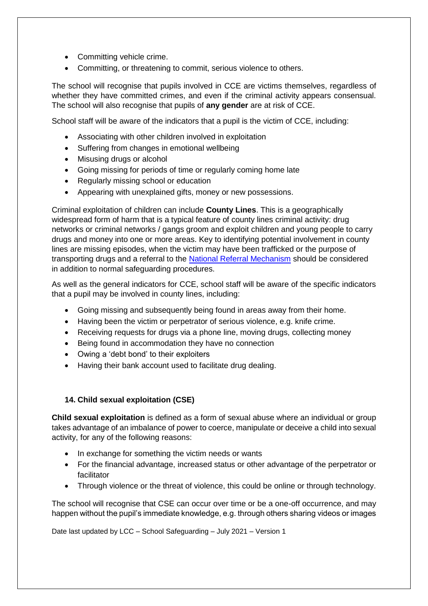- Committing vehicle crime.
- Committing, or threatening to commit, serious violence to others.

The school will recognise that pupils involved in CCE are victims themselves, regardless of whether they have committed crimes, and even if the criminal activity appears consensual. The school will also recognise that pupils of **any gender** are at risk of CCE.

School staff will be aware of the indicators that a pupil is the victim of CCE, including:

- Associating with other children involved in exploitation
- Suffering from changes in emotional wellbeing
- Misusing drugs or alcohol
- Going missing for periods of time or regularly coming home late
- Regularly missing school or education
- Appearing with unexplained gifts, money or new possessions.

Criminal exploitation of children can include **County Lines**. This is a geographically widespread form of harm that is a typical feature of county lines criminal activity: drug networks or criminal networks / gangs groom and exploit children and young people to carry drugs and money into one or more areas. Key to identifying potential involvement in county lines are missing episodes, when the victim may have been trafficked or the purpose of transporting drugs and a referral to the [National Referral Mechanism](https://www.gov.uk/government/publications/human-trafficking-victims-referral-and-assessment-forms/guidance-on-the-national-referral-mechanism-for-potential-adult-victims-of-modern-slavery-england-and-wales#what-the-national-referral-mechanism-is) should be considered in addition to normal safeguarding procedures.

As well as the general indicators for CCE, school staff will be aware of the specific indicators that a pupil may be involved in county lines, including:

- Going missing and subsequently being found in areas away from their home.
- Having been the victim or perpetrator of serious violence, e.g. knife crime.
- Receiving requests for drugs via a phone line, moving drugs, collecting money
- Being found in accommodation they have no connection
- Owing a 'debt bond' to their exploiters
- Having their bank account used to facilitate drug dealing.

#### **14. Child sexual exploitation (CSE)**

**Child sexual exploitation** is defined as a form of sexual abuse where an individual or group takes advantage of an imbalance of power to coerce, manipulate or deceive a child into sexual activity, for any of the following reasons:

- In exchange for something the victim needs or wants
- For the financial advantage, increased status or other advantage of the perpetrator or facilitator
- Through violence or the threat of violence, this could be online or through technology.

The school will recognise that CSE can occur over time or be a one-off occurrence, and may happen without the pupil's immediate knowledge, e.g. through others sharing videos or images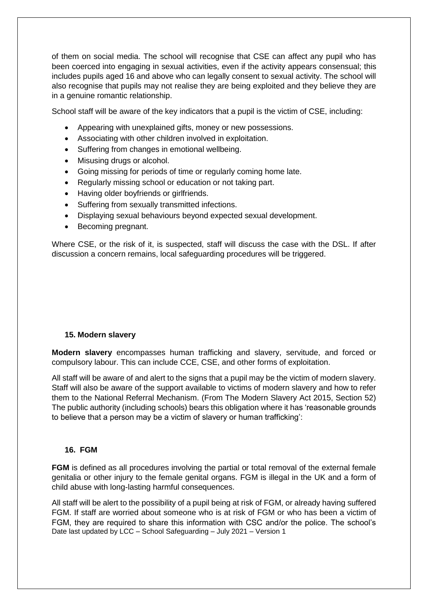of them on social media. The school will recognise that CSE can affect any pupil who has been coerced into engaging in sexual activities, even if the activity appears consensual; this includes pupils aged 16 and above who can legally consent to sexual activity. The school will also recognise that pupils may not realise they are being exploited and they believe they are in a genuine romantic relationship.

School staff will be aware of the key indicators that a pupil is the victim of CSE, including:

- Appearing with unexplained gifts, money or new possessions.
- Associating with other children involved in exploitation.
- Suffering from changes in emotional wellbeing.
- Misusing drugs or alcohol.
- Going missing for periods of time or regularly coming home late.
- Regularly missing school or education or not taking part.
- Having older boyfriends or girlfriends.
- Suffering from sexually transmitted infections.
- Displaying sexual behaviours beyond expected sexual development.
- Becoming pregnant.

Where CSE, or the risk of it, is suspected, staff will discuss the case with the DSL. If after discussion a concern remains, local safeguarding procedures will be triggered.

#### **15. Modern slavery**

**Modern slavery** encompasses human trafficking and slavery, servitude, and forced or compulsory labour. This can include CCE, CSE, and other forms of exploitation.

All staff will be aware of and alert to the signs that a pupil may be the victim of modern slavery. Staff will also be aware of the support available to victims of modern slavery and how to refer them to the National Referral Mechanism. (From The Modern Slavery Act 2015, Section 52) The public authority (including schools) bears this obligation where it has 'reasonable grounds to believe that a person may be a victim of slavery or human trafficking':

#### **16. FGM**

**FGM** is defined as all procedures involving the partial or total removal of the external female genitalia or other injury to the female genital organs. FGM is illegal in the UK and a form of child abuse with long-lasting harmful consequences.

Date last updated by LCC – School Safeguarding – July 2021 – Version 1 All staff will be alert to the possibility of a pupil being at risk of FGM, or already having suffered FGM. If staff are worried about someone who is at risk of FGM or who has been a victim of FGM, they are required to share this information with CSC and/or the police. The school's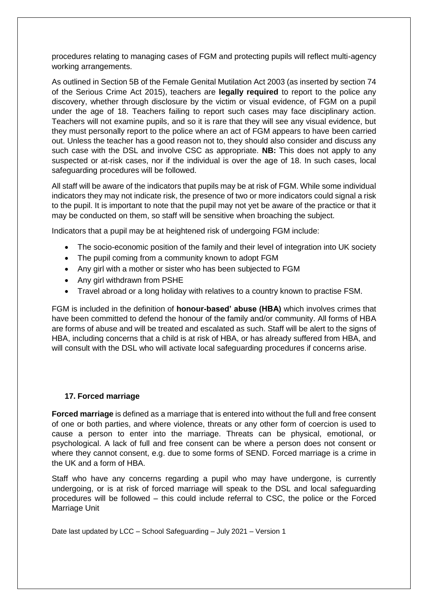procedures relating to managing cases of FGM and protecting pupils will reflect multi-agency working arrangements.

As outlined in Section 5B of the Female Genital Mutilation Act 2003 (as inserted by section 74 of the Serious Crime Act 2015), teachers are **legally required** to report to the police any discovery, whether through disclosure by the victim or visual evidence, of FGM on a pupil under the age of 18. Teachers failing to report such cases may face disciplinary action. Teachers will not examine pupils, and so it is rare that they will see any visual evidence, but they must personally report to the police where an act of FGM appears to have been carried out. Unless the teacher has a good reason not to, they should also consider and discuss any such case with the DSL and involve CSC as appropriate. **NB:** This does not apply to any suspected or at-risk cases, nor if the individual is over the age of 18. In such cases, local safeguarding procedures will be followed.

All staff will be aware of the indicators that pupils may be at risk of FGM. While some individual indicators they may not indicate risk, the presence of two or more indicators could signal a risk to the pupil. It is important to note that the pupil may not yet be aware of the practice or that it may be conducted on them, so staff will be sensitive when broaching the subject.

Indicators that a pupil may be at heightened risk of undergoing FGM include:

- The socio-economic position of the family and their level of integration into UK society
- The pupil coming from a community known to adopt FGM
- Any girl with a mother or sister who has been subjected to FGM
- Any girl withdrawn from PSHE
- Travel abroad or a long holiday with relatives to a country known to practise FSM.

FGM is included in the definition of **honour-based' abuse (HBA)** which involves crimes that have been committed to defend the honour of the family and/or community. All forms of HBA are forms of abuse and will be treated and escalated as such. Staff will be alert to the signs of HBA, including concerns that a child is at risk of HBA, or has already suffered from HBA, and will consult with the DSL who will activate local safeguarding procedures if concerns arise.

#### **17. Forced marriage**

**Forced marriage** is defined as a marriage that is entered into without the full and free consent of one or both parties, and where violence, threats or any other form of coercion is used to cause a person to enter into the marriage. Threats can be physical, emotional, or psychological. A lack of full and free consent can be where a person does not consent or where they cannot consent, e.g. due to some forms of SEND. Forced marriage is a crime in the UK and a form of HBA

Staff who have any concerns regarding a pupil who may have undergone, is currently undergoing, or is at risk of forced marriage will speak to the DSL and local safeguarding procedures will be followed – this could include referral to CSC, the police or the Forced Marriage Unit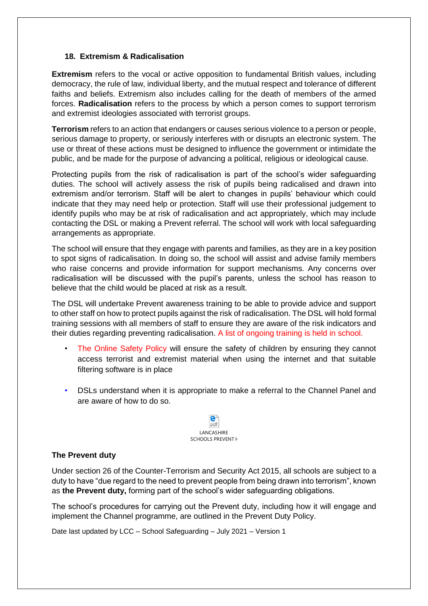#### **18. Extremism & Radicalisation**

**Extremism** refers to the vocal or active opposition to fundamental British values, including democracy, the rule of law, individual liberty, and the mutual respect and tolerance of different faiths and beliefs. Extremism also includes calling for the death of members of the armed forces. **Radicalisation** refers to the process by which a person comes to support terrorism and extremist ideologies associated with terrorist groups.

**Terrorism** refers to an action that endangers or causes serious violence to a person or people, serious damage to property, or seriously interferes with or disrupts an electronic system. The use or threat of these actions must be designed to influence the government or intimidate the public, and be made for the purpose of advancing a political, religious or ideological cause.

Protecting pupils from the risk of radicalisation is part of the school's wider safeguarding duties. The school will actively assess the risk of pupils being radicalised and drawn into extremism and/or terrorism. Staff will be alert to changes in pupils' behaviour which could indicate that they may need help or protection. Staff will use their professional judgement to identify pupils who may be at risk of radicalisation and act appropriately, which may include contacting the DSL or making a Prevent referral. The school will work with local safeguarding arrangements as appropriate.

The school will ensure that they engage with parents and families, as they are in a key position to spot signs of radicalisation. In doing so, the school will assist and advise family members who raise concerns and provide information for support mechanisms. Any concerns over radicalisation will be discussed with the pupil's parents, unless the school has reason to believe that the child would be placed at risk as a result.

The DSL will undertake Prevent awareness training to be able to provide advice and support to other staff on how to protect pupils against the risk of radicalisation. The DSL will hold formal training sessions with all members of staff to ensure they are aware of the risk indicators and their duties regarding preventing radicalisation. A list of ongoing training is held in school.

- The Online Safety Policy will ensure the safety of children by ensuring they cannot access terrorist and extremist material when using the internet and that suitable filtering software is in place
- DSLs understand when it is appropriate to make a referral to the Channel Panel and are aware of how to do so.



#### **The Prevent duty**

Under section 26 of the Counter-Terrorism and Security Act 2015, all schools are subject to a duty to have "due regard to the need to prevent people from being drawn into terrorism", known as **the Prevent duty,** forming part of the school's wider safeguarding obligations.

The school's procedures for carrying out the Prevent duty, including how it will engage and implement the Channel programme, are outlined in the Prevent Duty Policy.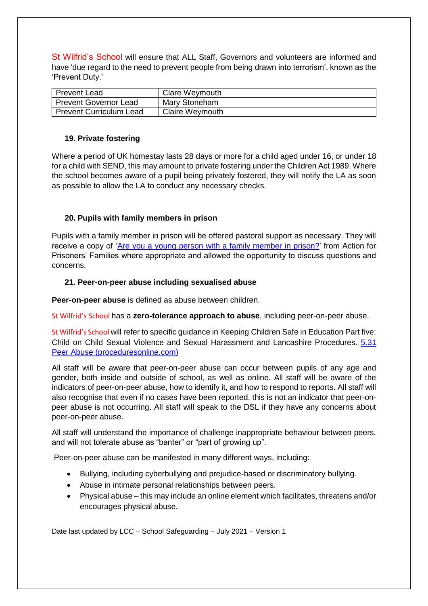St Wilfrid's School will ensure that ALL Staff, Governors and volunteers are informed and have 'due regard to the need to prevent people from being drawn into terrorism', known as the 'Prevent Duty.'

| <b>Prevent Lead</b>            | Clare Weymouth         |
|--------------------------------|------------------------|
| <b>Prevent Governor Lead</b>   | Mary Stoneham          |
| <b>Prevent Curriculum Lead</b> | <b>Claire Weymouth</b> |

#### **19. Private fostering**

Where a period of UK homestay lasts 28 days or more for a child aged under 16, or under 18 for a child with SEND, this may amount to private fostering under the Children Act 1989. Where the school becomes aware of a pupil being privately fostered, they will notify the LA as soon as possible to allow the LA to conduct any necessary checks.

## **20. Pupils with family members in prison**

Pupils with a family member in prison will be offered pastoral support as necessary. They will receive a copy of ['Are you a young person with a family member in prison?'](https://www.nicco.org.uk/directory-of-resources) from Action for Prisoners' Families where appropriate and allowed the opportunity to discuss questions and concerns.

#### **21. Peer-on-peer abuse including sexualised abuse**

**Peer-on-peer abuse** is defined as abuse between children.

St Wilfrid's School has a **zero-tolerance approach to abuse**, including peer-on-peer abuse.

St Wilfrid's School will refer to specific guidance in Keeping Children Safe in Education Part five: Child on Child Sexual Violence and Sexual Harassment and Lancashire Procedures. [5.31](https://panlancashirescb.proceduresonline.com/chapters/p_peer_abuse.html)  [Peer Abuse \(proceduresonline.com\)](https://panlancashirescb.proceduresonline.com/chapters/p_peer_abuse.html)

All staff will be aware that peer-on-peer abuse can occur between pupils of any age and gender, both inside and outside of school, as well as online. All staff will be aware of the indicators of peer-on-peer abuse, how to identify it, and how to respond to reports. All staff will also recognise that even if no cases have been reported, this is not an indicator that peer-onpeer abuse is not occurring. All staff will speak to the DSL if they have any concerns about peer-on-peer abuse.

All staff will understand the importance of challenge inappropriate behaviour between peers, and will not tolerate abuse as "banter" or "part of growing up".

Peer-on-peer abuse can be manifested in many different ways, including:

- Bullying, including cyberbullying and prejudice-based or discriminatory bullying.
- Abuse in intimate personal relationships between peers.
- Physical abuse this may include an online element which facilitates, threatens and/or encourages physical abuse.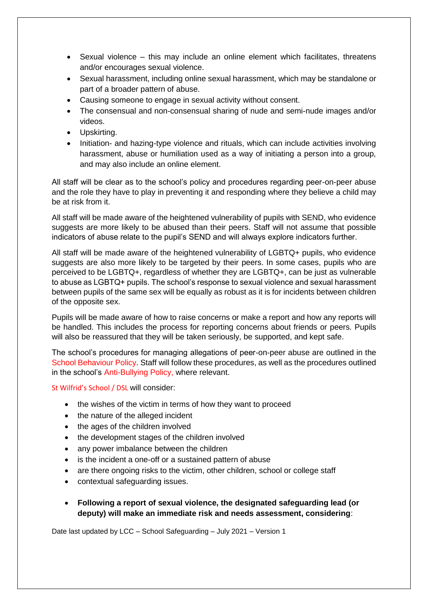- Sexual violence this may include an online element which facilitates, threatens and/or encourages sexual violence.
- Sexual harassment, including online sexual harassment, which may be standalone or part of a broader pattern of abuse.
- Causing someone to engage in sexual activity without consent.
- The consensual and non-consensual sharing of nude and semi-nude images and/or videos.
- Upskirting.
- Initiation- and hazing-type violence and rituals, which can include activities involving harassment, abuse or humiliation used as a way of initiating a person into a group, and may also include an online element.

All staff will be clear as to the school's policy and procedures regarding peer-on-peer abuse and the role they have to play in preventing it and responding where they believe a child may be at risk from it.

All staff will be made aware of the heightened vulnerability of pupils with SEND, who evidence suggests are more likely to be abused than their peers. Staff will not assume that possible indicators of abuse relate to the pupil's SEND and will always explore indicators further.

All staff will be made aware of the heightened vulnerability of LGBTQ+ pupils, who evidence suggests are also more likely to be targeted by their peers. In some cases, pupils who are perceived to be LGBTQ+, regardless of whether they are LGBTQ+, can be just as vulnerable to abuse as LGBTQ+ pupils. The school's response to sexual violence and sexual harassment between pupils of the same sex will be equally as robust as it is for incidents between children of the opposite sex.

Pupils will be made aware of how to raise concerns or make a report and how any reports will be handled. This includes the process for reporting concerns about friends or peers. Pupils will also be reassured that they will be taken seriously, be supported, and kept safe.

The school's procedures for managing allegations of peer-on-peer abuse are outlined in the School Behaviour Policy. Staff will follow these procedures, as well as the procedures outlined in the school's Anti-Bullying Policy, where relevant.

St Wilfrid's School / DSL will consider:

- the wishes of the victim in terms of how they want to proceed
- the nature of the alleged incident
- the ages of the children involved
- the development stages of the children involved
- any power imbalance between the children
- is the incident a one-off or a sustained pattern of abuse
- are there ongoing risks to the victim, other children, school or college staff
- contextual safeguarding issues.
- **Following a report of sexual violence, the designated safeguarding lead (or deputy) will make an immediate risk and needs assessment, considering**: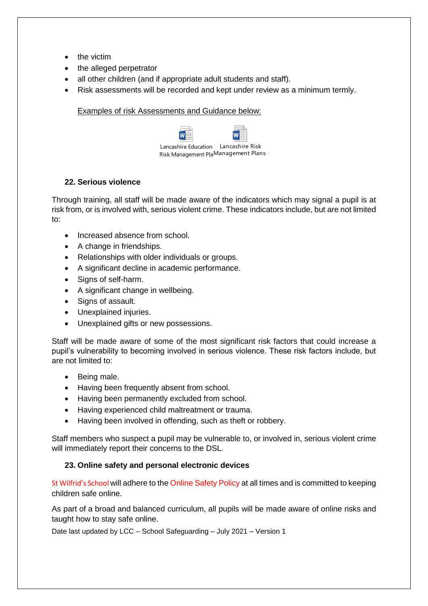- the victim
- the alleged perpetrator
- all other children (and if appropriate adult students and staff).
- Risk assessments will be recorded and kept under review as a minimum termly.

Examples of risk Assessments and Guidance below:

| Lancashire Education Lancashire Risk |  |
|--------------------------------------|--|
| Risk Management PlaManagement Plans  |  |

## **22. Serious violence**

Through training, all staff will be made aware of the indicators which may signal a pupil is at risk from, or is involved with, serious violent crime. These indicators include, but are not limited to:

- Increased absence from school.
- A change in friendships.
- Relationships with older individuals or groups.
- A significant decline in academic performance.
- Signs of self-harm.
- A significant change in wellbeing.
- Signs of assault.
- Unexplained injuries.
- Unexplained gifts or new possessions.

Staff will be made aware of some of the most significant risk factors that could increase a pupil's vulnerability to becoming involved in serious violence. These risk factors include, but are not limited to:

- Being male.
- Having been frequently absent from school.
- Having been permanently excluded from school.
- Having experienced child maltreatment or trauma.
- Having been involved in offending, such as theft or robbery.

Staff members who suspect a pupil may be vulnerable to, or involved in, serious violent crime will immediately report their concerns to the DSL.

## **23. Online safety and personal electronic devices**

St Wilfrid's School will adhere to the Online Safety Policy at all times and is committed to keeping children safe online.

As part of a broad and balanced curriculum, all pupils will be made aware of online risks and taught how to stay safe online.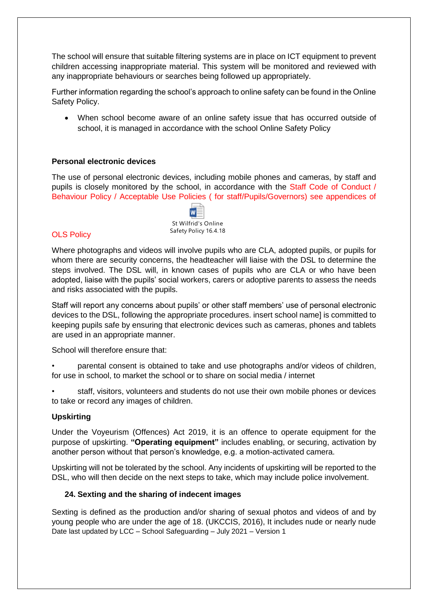The school will ensure that suitable filtering systems are in place on ICT equipment to prevent children accessing inappropriate material. This system will be monitored and reviewed with any inappropriate behaviours or searches being followed up appropriately.

Further information regarding the school's approach to online safety can be found in the Online Safety Policy.

• When school become aware of an online safety issue that has occurred outside of school, it is managed in accordance with the school Online Safety Policy

#### **Personal electronic devices**

The use of personal electronic devices, including mobile phones and cameras, by staff and pupils is closely monitored by the school, in accordance with the Staff Code of Conduct / Behaviour Policy / Acceptable Use Policies ( for staff/Pupils/Governors) see appendices of



#### **OLS Policy**

Where photographs and videos will involve pupils who are CLA, adopted pupils, or pupils for whom there are security concerns, the headteacher will liaise with the DSL to determine the steps involved. The DSL will, in known cases of pupils who are CLA or who have been adopted, liaise with the pupils' social workers, carers or adoptive parents to assess the needs and risks associated with the pupils.

Staff will report any concerns about pupils' or other staff members' use of personal electronic devices to the DSL, following the appropriate procedures. insert school name] is committed to keeping pupils safe by ensuring that electronic devices such as cameras, phones and tablets are used in an appropriate manner.

School will therefore ensure that:

• parental consent is obtained to take and use photographs and/or videos of children, for use in school, to market the school or to share on social media / internet

• staff, visitors, volunteers and students do not use their own mobile phones or devices to take or record any images of children.

#### **Upskirting**

Under the Voyeurism (Offences) Act 2019, it is an offence to operate equipment for the purpose of upskirting. **"Operating equipment"** includes enabling, or securing, activation by another person without that person's knowledge, e.g. a motion-activated camera.

Upskirting will not be tolerated by the school. Any incidents of upskirting will be reported to the DSL, who will then decide on the next steps to take, which may include police involvement.

#### **24. Sexting and the sharing of indecent images**

Date last updated by LCC – School Safeguarding – July 2021 – Version 1 Sexting is defined as the production and/or sharing of sexual photos and videos of and by young people who are under the age of 18. (UKCCIS, 2016), It includes nude or nearly nude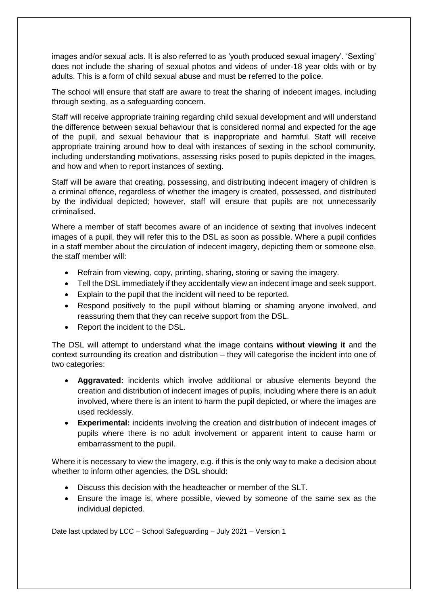images and/or sexual acts. It is also referred to as 'youth produced sexual imagery'. 'Sexting' does not include the sharing of sexual photos and videos of under-18 year olds with or by adults. This is a form of child sexual abuse and must be referred to the police.

The school will ensure that staff are aware to treat the sharing of indecent images, including through sexting, as a safeguarding concern.

Staff will receive appropriate training regarding child sexual development and will understand the difference between sexual behaviour that is considered normal and expected for the age of the pupil, and sexual behaviour that is inappropriate and harmful. Staff will receive appropriate training around how to deal with instances of sexting in the school community, including understanding motivations, assessing risks posed to pupils depicted in the images, and how and when to report instances of sexting.

Staff will be aware that creating, possessing, and distributing indecent imagery of children is a criminal offence, regardless of whether the imagery is created, possessed, and distributed by the individual depicted; however, staff will ensure that pupils are not unnecessarily criminalised.

Where a member of staff becomes aware of an incidence of sexting that involves indecent images of a pupil, they will refer this to the DSL as soon as possible. Where a pupil confides in a staff member about the circulation of indecent imagery, depicting them or someone else, the staff member will:

- Refrain from viewing, copy, printing, sharing, storing or saving the imagery.
- Tell the DSL immediately if they accidentally view an indecent image and seek support.
- Explain to the pupil that the incident will need to be reported.
- Respond positively to the pupil without blaming or shaming anyone involved, and reassuring them that they can receive support from the DSL.
- Report the incident to the DSL.

The DSL will attempt to understand what the image contains **without viewing it** and the context surrounding its creation and distribution – they will categorise the incident into one of two categories:

- **Aggravated:** incidents which involve additional or abusive elements beyond the creation and distribution of indecent images of pupils, including where there is an adult involved, where there is an intent to harm the pupil depicted, or where the images are used recklessly.
- **Experimental:** incidents involving the creation and distribution of indecent images of pupils where there is no adult involvement or apparent intent to cause harm or embarrassment to the pupil.

Where it is necessary to view the imagery, e.g. if this is the only way to make a decision about whether to inform other agencies, the DSL should:

- Discuss this decision with the headteacher or member of the SLT.
- Ensure the image is, where possible, viewed by someone of the same sex as the individual depicted.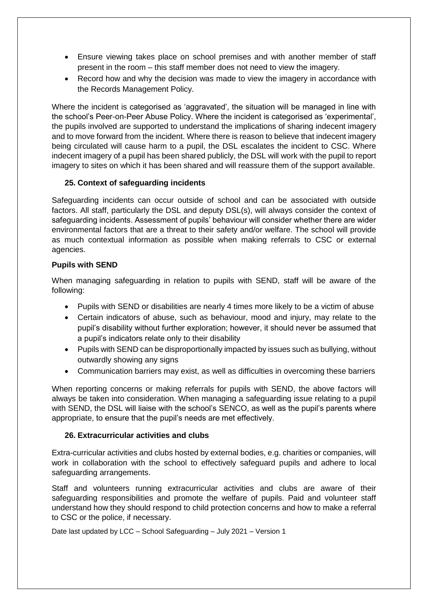- Ensure viewing takes place on school premises and with another member of staff present in the room – this staff member does not need to view the imagery.
- Record how and why the decision was made to view the imagery in accordance with the Records Management Policy.

Where the incident is categorised as 'aggravated', the situation will be managed in line with the school's Peer-on-Peer Abuse Policy. Where the incident is categorised as 'experimental', the pupils involved are supported to understand the implications of sharing indecent imagery and to move forward from the incident. Where there is reason to believe that indecent imagery being circulated will cause harm to a pupil, the DSL escalates the incident to CSC. Where indecent imagery of a pupil has been shared publicly, the DSL will work with the pupil to report imagery to sites on which it has been shared and will reassure them of the support available.

## **25. Context of safeguarding incidents**

Safeguarding incidents can occur outside of school and can be associated with outside factors. All staff, particularly the DSL and deputy DSL(s), will always consider the context of safeguarding incidents. Assessment of pupils' behaviour will consider whether there are wider environmental factors that are a threat to their safety and/or welfare. The school will provide as much contextual information as possible when making referrals to CSC or external agencies.

## **Pupils with SEND**

When managing safeguarding in relation to pupils with SEND, staff will be aware of the following:

- Pupils with SEND or disabilities are nearly 4 times more likely to be a victim of abuse
- Certain indicators of abuse, such as behaviour, mood and injury, may relate to the pupil's disability without further exploration; however, it should never be assumed that a pupil's indicators relate only to their disability
- Pupils with SEND can be disproportionally impacted by issues such as bullying, without outwardly showing any signs
- Communication barriers may exist, as well as difficulties in overcoming these barriers

When reporting concerns or making referrals for pupils with SEND, the above factors will always be taken into consideration. When managing a safeguarding issue relating to a pupil with SEND, the DSL will liaise with the school's SENCO, as well as the pupil's parents where appropriate, to ensure that the pupil's needs are met effectively.

#### **26. Extracurricular activities and clubs**

Extra-curricular activities and clubs hosted by external bodies, e.g. charities or companies, will work in collaboration with the school to effectively safeguard pupils and adhere to local safeguarding arrangements.

Staff and volunteers running extracurricular activities and clubs are aware of their safeguarding responsibilities and promote the welfare of pupils. Paid and volunteer staff understand how they should respond to child protection concerns and how to make a referral to CSC or the police, if necessary.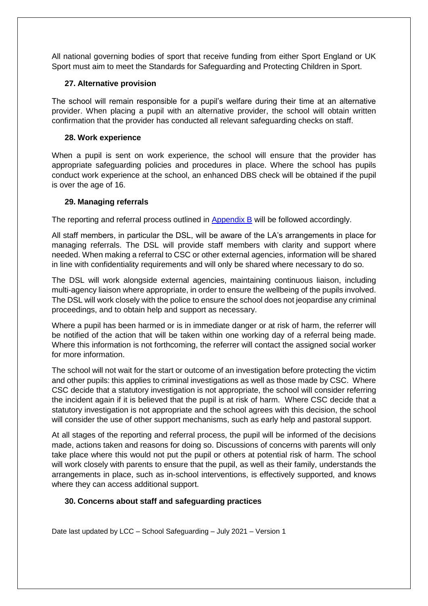All national governing bodies of sport that receive funding from either Sport England or UK Sport must aim to meet the Standards for Safeguarding and Protecting Children in Sport.

## **27. Alternative provision**

The school will remain responsible for a pupil's welfare during their time at an alternative provider. When placing a pupil with an alternative provider, the school will obtain written confirmation that the provider has conducted all relevant safeguarding checks on staff.

## **28. Work experience**

When a pupil is sent on work experience, the school will ensure that the provider has appropriate safeguarding policies and procedures in place. Where the school has pupils conduct work experience at the school, an enhanced DBS check will be obtained if the pupil is over the age of 16.

## **29. Managing referrals**

The reporting and referral process outlined in Appendix B will be followed accordingly.

All staff members, in particular the DSL, will be aware of the LA's arrangements in place for managing referrals. The DSL will provide staff members with clarity and support where needed. When making a referral to CSC or other external agencies, information will be shared in line with confidentiality requirements and will only be shared where necessary to do so.

The DSL will work alongside external agencies, maintaining continuous liaison, including multi-agency liaison where appropriate, in order to ensure the wellbeing of the pupils involved. The DSL will work closely with the police to ensure the school does not jeopardise any criminal proceedings, and to obtain help and support as necessary.

Where a pupil has been harmed or is in immediate danger or at risk of harm, the referrer will be notified of the action that will be taken within one working day of a referral being made. Where this information is not forthcoming, the referrer will contact the assigned social worker for more information.

The school will not wait for the start or outcome of an investigation before protecting the victim and other pupils: this applies to criminal investigations as well as those made by CSC. Where CSC decide that a statutory investigation is not appropriate, the school will consider referring the incident again if it is believed that the pupil is at risk of harm. Where CSC decide that a statutory investigation is not appropriate and the school agrees with this decision, the school will consider the use of other support mechanisms, such as early help and pastoral support.

At all stages of the reporting and referral process, the pupil will be informed of the decisions made, actions taken and reasons for doing so. Discussions of concerns with parents will only take place where this would not put the pupil or others at potential risk of harm. The school will work closely with parents to ensure that the pupil, as well as their family, understands the arrangements in place, such as in-school interventions, is effectively supported, and knows where they can access additional support.

## **30. Concerns about staff and safeguarding practices**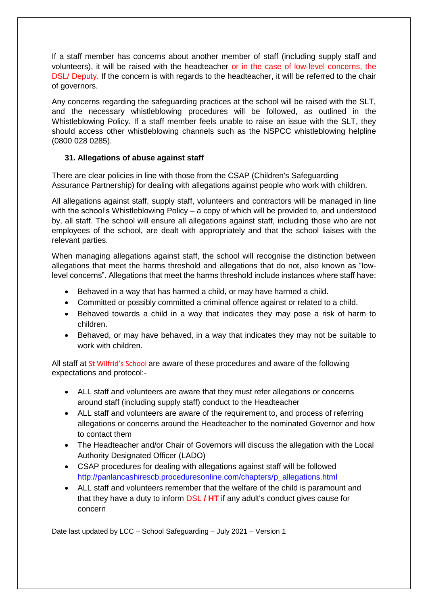If a staff member has concerns about another member of staff (including supply staff and volunteers), it will be raised with the headteacher or in the case of low-level concerns, the DSL/ Deputy. If the concern is with regards to the headteacher, it will be referred to the chair of governors.

Any concerns regarding the safeguarding practices at the school will be raised with the SLT, and the necessary whistleblowing procedures will be followed, as outlined in the Whistleblowing Policy. If a staff member feels unable to raise an issue with the SLT, they should access other whistleblowing channels such as the NSPCC whistleblowing helpline (0800 028 0285).

## **31. Allegations of abuse against staff**

There are clear policies in line with those from the CSAP (Children's Safeguarding Assurance Partnership) for dealing with allegations against people who work with children.

All allegations against staff, supply staff, volunteers and contractors will be managed in line with the school's Whistleblowing Policy – a copy of which will be provided to, and understood by, all staff. The school will ensure all allegations against staff, including those who are not employees of the school, are dealt with appropriately and that the school liaises with the relevant parties.

When managing allegations against staff, the school will recognise the distinction between allegations that meet the harms threshold and allegations that do not, also known as "lowlevel concerns". Allegations that meet the harms threshold include instances where staff have:

- Behaved in a way that has harmed a child, or may have harmed a child.
- Committed or possibly committed a criminal offence against or related to a child.
- Behaved towards a child in a way that indicates they may pose a risk of harm to children.
- Behaved, or may have behaved, in a way that indicates they may not be suitable to work with children.

All staff at St Wilfrid's School are aware of these procedures and aware of the following expectations and protocol:-

- ALL staff and volunteers are aware that they must refer allegations or concerns around staff (including supply staff) conduct to the Headteacher
- ALL staff and volunteers are aware of the requirement to, and process of referring allegations or concerns around the Headteacher to the nominated Governor and how to contact them
- The Headteacher and/or Chair of Governors will discuss the allegation with the Local Authority Designated Officer (LADO)
- CSAP procedures for dealing with allegations against staff will be followed [http://panlancashirescb.proceduresonline.com/chapters/p\\_allegations.html](http://panlancashirescb.proceduresonline.com/chapters/p_allegations.html)
- ALL staff and volunteers remember that the welfare of the child is paramount and that they have a duty to inform DSL **/ HT** if any adult's conduct gives cause for concern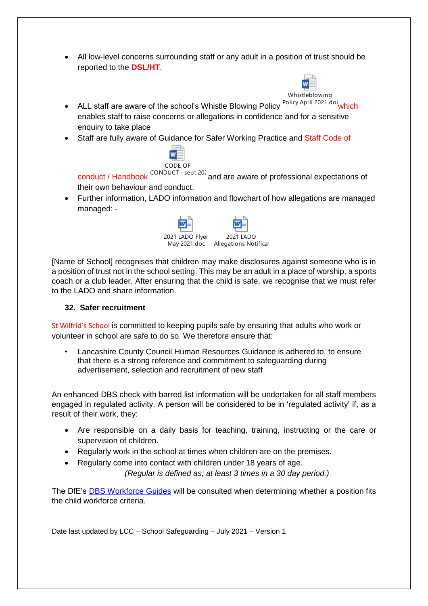• All low-level concerns surrounding staff or any adult in a position of trust should be reported to the **DSL/HT**.



Whistleblowing

- ALL staff are aware of the school's Whistle Blowing Policy <sup>Policy April 2021.doc</sup>which enables staff to raise concerns or allegations in confidence and for a sensitive enquiry to take place
- Staff are fully aware of Guidance for Safer Working Practice and Staff Code of



conduct / Handbook CONDUCT - sept 20<sup>2</sup> and are aware of professional expectations of their own behaviour and conduct.

• Further information, LADO information and flowchart of how allegations are managed managed: -



[Name of School] recognises that children may make disclosures against someone who is in a position of trust not in the school setting. This may be an adult in a place of worship, a sports coach or a club leader. After ensuring that the child is safe, we recognise that we must refer to the LADO and share information.

# **32. Safer recruitment**

St Wilfrid's School is committed to keeping pupils safe by ensuring that adults who work or volunteer in school are safe to do so. We therefore ensure that:

• Lancashire County Council Human Resources Guidance is adhered to, to ensure that there is a strong reference and commitment to safeguarding during advertisement, selection and recruitment of new staff

An enhanced DBS check with barred list information will be undertaken for all staff members engaged in regulated activity. A person will be considered to be in 'regulated activity' if, as a result of their work, they:

- Are responsible on a daily basis for teaching, training, instructing or the care or supervision of children.
- Regularly work in the school at times when children are on the premises.
- Regularly come into contact with children under 18 years of age.

*(Regular is defined as; at least 3 times in a 30 day period.)*

The DfE's [DBS Workforce Guides](https://www.gov.uk/government/publications/dbs-workforce-guidance) will be consulted when determining whether a position fits the child workforce criteria.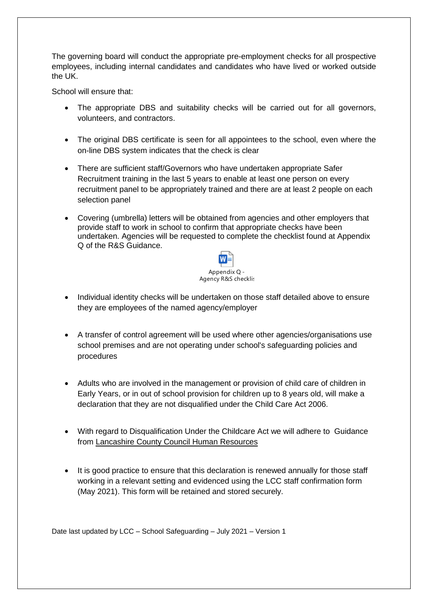The governing board will conduct the appropriate pre-employment checks for all prospective employees, including internal candidates and candidates who have lived or worked outside the UK.

School will ensure that:

- The appropriate DBS and suitability checks will be carried out for all governors, volunteers, and contractors.
- The original DBS certificate is seen for all appointees to the school, even where the on-line DBS system indicates that the check is clear
- There are sufficient staff/Governors who have undertaken appropriate Safer Recruitment training in the last 5 years to enable at least one person on every recruitment panel to be appropriately trained and there are at least 2 people on each selection panel
- Covering (umbrella) letters will be obtained from agencies and other employers that provide staff to work in school to confirm that appropriate checks have been undertaken. Agencies will be requested to complete the checklist found at Appendix Q of the R&S Guidance.



- Individual identity checks will be undertaken on those staff detailed above to ensure they are employees of the named agency/employer
- A transfer of control agreement will be used where other agencies/organisations use school premises and are not operating under school's safeguarding policies and procedures
- Adults who are involved in the management or provision of child care of children in Early Years, or in out of school provision for children up to 8 years old, will make a declaration that they are not disqualified under the Child Care Act 2006.
- With regard to Disqualification Under the Childcare Act we will adhere to Guidance from [Lancashire County Council Human Resources](file://///CorpData01/LCCUsers4$/vwallace001/My%20Documents/For%20portal/•%09https:/schoolsportal.lancsngfl.ac.uk/view_sp.asp%3fsiteid=4311&pageid=45826&e=e)
- It is good practice to ensure that this declaration is renewed annually for those staff working in a relevant setting and evidenced using the LCC staff confirmation form (May 2021). This form will be retained and stored securely.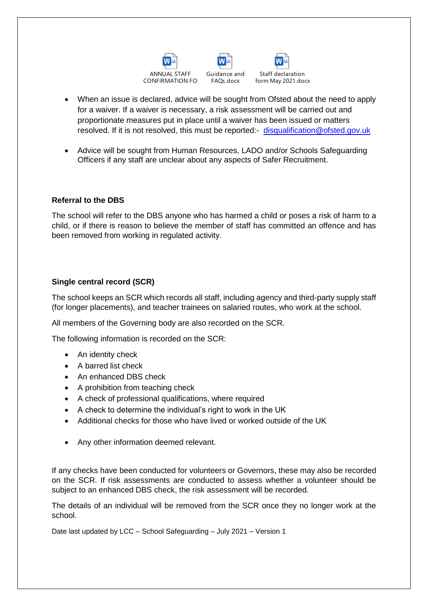



- When an issue is declared, advice will be sought from Ofsted about the need to apply for a waiver. If a waiver is necessary, a risk assessment will be carried out and proportionate measures put in place until a waiver has been issued or matters resolved. If it is not resolved, this must be reported:- [disqualification@ofsted.gov.uk](mailto:disqualification@ofsted.gov.uk)
- Advice will be sought from Human Resources, LADO and/or Schools Safeguarding Officers if any staff are unclear about any aspects of Safer Recruitment.

#### **Referral to the DBS**

The school will refer to the DBS anyone who has harmed a child or poses a risk of harm to a child, or if there is reason to believe the member of staff has committed an offence and has been removed from working in regulated activity.

## **Single central record (SCR)**

The school keeps an SCR which records all staff, including agency and third-party supply staff (for longer placements), and teacher trainees on salaried routes, who work at the school.

All members of the Governing body are also recorded on the SCR.

The following information is recorded on the SCR:

- An identity check
- A barred list check
- An enhanced DBS check
- A prohibition from teaching check
- A check of professional qualifications, where required
- A check to determine the individual's right to work in the UK
- Additional checks for those who have lived or worked outside of the UK
- Any other information deemed relevant.

If any checks have been conducted for volunteers or Governors, these may also be recorded on the SCR. If risk assessments are conducted to assess whether a volunteer should be subject to an enhanced DBS check, the risk assessment will be recorded.

The details of an individual will be removed from the SCR once they no longer work at the school.